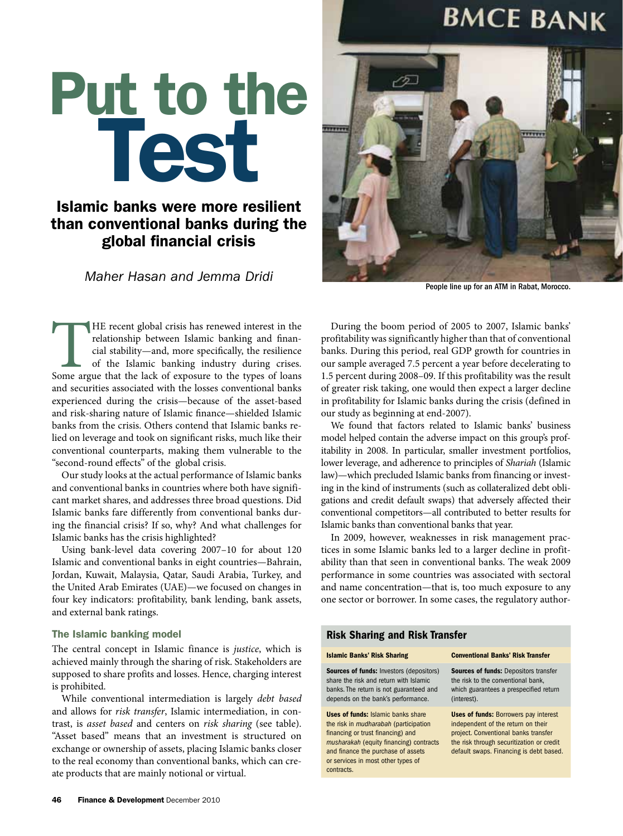## **BMCE BANK**

# Put to the Test

### Islamic banks were more resilient than conventional banks during the global financial crisis

*Maher Hasan and Jemma Dridi*

The recent global crisis has renewed interest in the relationship between Islamic banking and financial stability—and, more specifically, the resilience of the Islamic banking industry during crises.<br>Some argue that the la relationship between Islamic banking and financial stability—and, more specifically, the resilience of the Islamic banking industry during crises. and securities associated with the losses conventional banks experienced during the crisis—because of the asset-based and risk-sharing nature of Islamic finance—shielded Islamic banks from the crisis. Others contend that Islamic banks relied on leverage and took on significant risks, much like their conventional counterparts, making them vulnerable to the "second-round effects" of the global crisis.

Our study looks at the actual performance of Islamic banks and conventional banks in countries where both have significant market shares, and addresses three broad questions. Did Islamic banks fare differently from conventional banks during the financial crisis? If so, why? And what challenges for Islamic banks has the crisis highlighted?

Using bank-level data covering 2007–10 for about 120 Islamic and conventional banks in eight countries—Bahrain, Jordan, Kuwait, Malaysia, Qatar, Saudi Arabia, Turkey, and the United Arab Emirates (UAE)—we focused on changes in four key indicators: profitability, bank lending, bank assets, and external bank ratings.

#### The Islamic banking model

The central concept in Islamic finance is *justice*, which is achieved mainly through the sharing of risk. Stakeholders are supposed to share profits and losses. Hence, charging interest is prohibited.

While conventional intermediation is largely *debt based* and allows for *risk transfer*, Islamic intermediation, in contrast, is *asset based* and centers on *risk sharing* (see table). "Asset based" means that an investment is structured on exchange or ownership of assets, placing Islamic banks closer to the real economy than conventional banks, which can create products that are mainly notional or virtual.



People line up for an ATM in Rabat, Morocco.

During the boom period of 2005 to 2007, Islamic banks' profitability was significantly higher than that of conventional banks. During this period, real GDP growth for countries in our sample averaged 7.5 percent a year before decelerating to 1.5 percent during 2008–09. If this profitability was the result of greater risk taking, one would then expect a larger decline in profitability for Islamic banks during the crisis (defined in our study as beginning at end-2007).

We found that factors related to Islamic banks' business model helped contain the adverse impact on this group's profitability in 2008. In particular, smaller investment portfolios, lower leverage, and adherence to principles of *Shariah* (Islamic law)—which precluded Islamic banks from financing or investing in the kind of instruments (such as collateralized debt obligations and credit default swaps) that adversely affected their conventional competitors—all contributed to better results for Islamic banks than conventional banks that year.

In 2009, however, weaknesses in risk management practices in some Islamic banks led to a larger decline in profitability than that seen in conventional banks. The weak 2009 performance in some countries was associated with sectoral and name concentration—that is, too much exposure to any one sector or borrower. In some cases, the regulatory author-

#### Risk Sharing and Risk Transfer

| <b>Islamic Banks' Risk Sharing</b>                                                                                                                                                                                                                                  | <b>Conventional Banks' Risk Transfer</b>                                                                                                                                                                           |
|---------------------------------------------------------------------------------------------------------------------------------------------------------------------------------------------------------------------------------------------------------------------|--------------------------------------------------------------------------------------------------------------------------------------------------------------------------------------------------------------------|
| <b>Sources of funds: Investors (depositors)</b><br>share the risk and return with Islamic<br>banks. The return is not guaranteed and<br>depends on the bank's performance.                                                                                          | <b>Sources of funds: Depositors transfer</b><br>the risk to the conventional bank.<br>which guarantees a prespecified return<br>(interest).                                                                        |
| <b>Uses of funds: Islamic banks share</b><br>the risk in <i>mudharabah</i> (participation<br>financing or trust financing) and<br>musharakah (equity financing) contracts<br>and finance the purchase of assets<br>or services in most other types of<br>contracts. | <b>Uses of funds: Borrowers pay interest</b><br>independent of the return on their<br>project. Conventional banks transfer<br>the risk through securitization or credit<br>default swaps. Financing is debt based. |